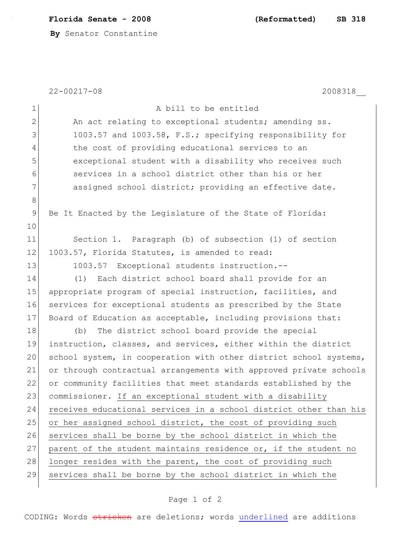**Florida Senate - 2008 (Reformatted) SB 318**

**By** Senator Constantine

|             | $22 - 00217 - 08$<br>2008318                                      |
|-------------|-------------------------------------------------------------------|
| $\mathbf 1$ | A bill to be entitled                                             |
| $\mathbf 2$ | An act relating to exceptional students; amending ss.             |
| 3           | 1003.57 and 1003.58, F.S.; specifying responsibility for          |
| 4           | the cost of providing educational services to an                  |
| 5           | exceptional student with a disability who receives such           |
| 6           | services in a school district other than his or her               |
| 7           | assigned school district; providing an effective date.            |
| $8\,$       |                                                                   |
| 9           | Be It Enacted by the Legislature of the State of Florida:         |
| 10          |                                                                   |
| 11          | Section 1. Paragraph (b) of subsection (1) of section             |
| 12          | 1003.57, Florida Statutes, is amended to read:                    |
| 13          | 1003.57 Exceptional students instruction.--                       |
| 14          | Each district school board shall provide for an<br>(1)            |
| 15          | appropriate program of special instruction, facilities, and       |
| 16          | services for exceptional students as prescribed by the State      |
| 17          | Board of Education as acceptable, including provisions that:      |
| 18          | The district school board provide the special<br>(b)              |
| 19          | instruction, classes, and services, either within the district    |
| 20          | school system, in cooperation with other district school systems, |
| 21          | or through contractual arrangements with approved private schools |
| 22          | or community facilities that meet standards established by the    |
| 23          | commissioner. If an exceptional student with a disability         |
| 24          | receives educational services in a school district other than his |
| 25          | or her assigned school district, the cost of providing such       |
| 26          | services shall be borne by the school district in which the       |
| 27          | parent of the student maintains residence or, if the student no   |
| 28          | longer resides with the parent, the cost of providing such        |
| 29          | services shall be borne by the school district in which the       |

## Page 1 of 2

CODING: Words stricken are deletions; words underlined are additions